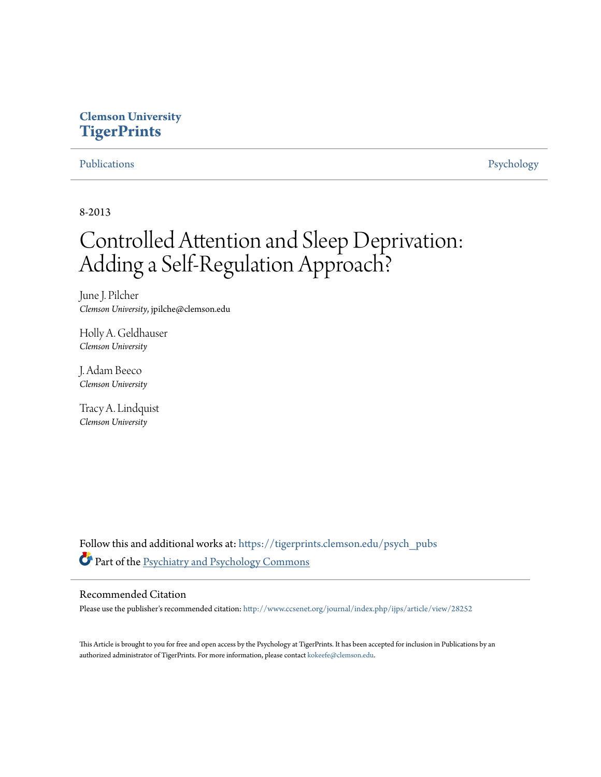## **Clemson University [TigerPrints](https://tigerprints.clemson.edu?utm_source=tigerprints.clemson.edu%2Fpsych_pubs%2F6&utm_medium=PDF&utm_campaign=PDFCoverPages)**

[Publications](https://tigerprints.clemson.edu/psych_pubs?utm_source=tigerprints.clemson.edu%2Fpsych_pubs%2F6&utm_medium=PDF&utm_campaign=PDFCoverPages) [Psychology](https://tigerprints.clemson.edu/psychology?utm_source=tigerprints.clemson.edu%2Fpsych_pubs%2F6&utm_medium=PDF&utm_campaign=PDFCoverPages)

8-2013

# Controlled Attention and Sleep Deprivation: Adding a Self-Regulation Approach?

June J. Pilcher *Clemson University*, jpilche@clemson.edu

Holly A. Geldhauser *Clemson University*

J. Adam Beeco *Clemson University*

Tracy A. Lindquist *Clemson University*

Follow this and additional works at: [https://tigerprints.clemson.edu/psych\\_pubs](https://tigerprints.clemson.edu/psych_pubs?utm_source=tigerprints.clemson.edu%2Fpsych_pubs%2F6&utm_medium=PDF&utm_campaign=PDFCoverPages) Part of the [Psychiatry and Psychology Commons](http://network.bepress.com/hgg/discipline/908?utm_source=tigerprints.clemson.edu%2Fpsych_pubs%2F6&utm_medium=PDF&utm_campaign=PDFCoverPages)

### Recommended Citation

Please use the publisher's recommended citation: <http://www.ccsenet.org/journal/index.php/ijps/article/view/28252>

This Article is brought to you for free and open access by the Psychology at TigerPrints. It has been accepted for inclusion in Publications by an authorized administrator of TigerPrints. For more information, please contact [kokeefe@clemson.edu.](mailto:kokeefe@clemson.edu)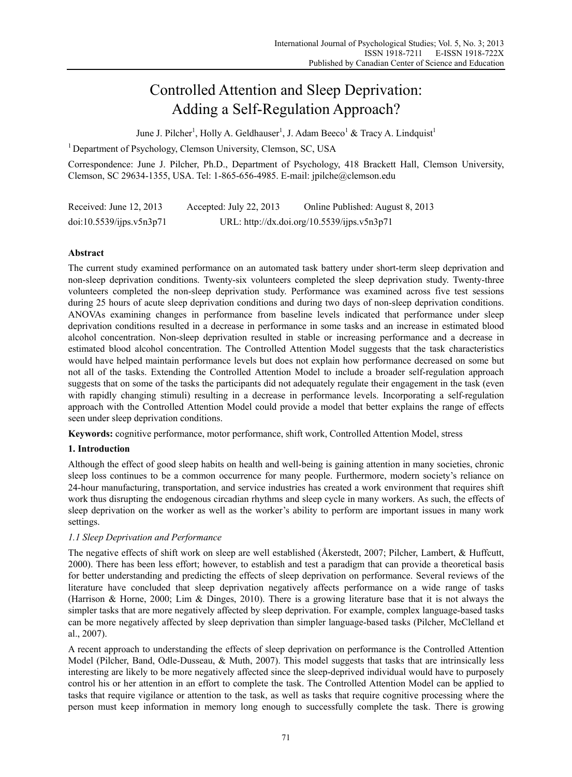# Controlled Attention and Sleep Deprivation: Adding a Self-Regulation Approach?

June J. Pilcher<sup>1</sup>, Holly A. Geldhauser<sup>1</sup>, J. Adam Beeco<sup>1</sup> & Tracy A. Lindquist<sup>1</sup>

<sup>1</sup> Department of Psychology, Clemson University, Clemson, SC, USA

Correspondence: June J. Pilcher, Ph.D., Department of Psychology, 418 Brackett Hall, Clemson University, Clemson, SC 29634-1355, USA. Tel: 1-865-656-4985. E-mail: jpilche@clemson.edu

Received: June 12, 2013 Accepted: July 22, 2013 Online Published: August 8, 2013 doi:10.5539/ijps.v5n3p71 URL: http://dx.doi.org/10.5539/ijps.v5n3p71

### **Abstract**

The current study examined performance on an automated task battery under short-term sleep deprivation and non-sleep deprivation conditions. Twenty-six volunteers completed the sleep deprivation study. Twenty-three volunteers completed the non-sleep deprivation study. Performance was examined across five test sessions during 25 hours of acute sleep deprivation conditions and during two days of non-sleep deprivation conditions. ANOVAs examining changes in performance from baseline levels indicated that performance under sleep deprivation conditions resulted in a decrease in performance in some tasks and an increase in estimated blood alcohol concentration. Non-sleep deprivation resulted in stable or increasing performance and a decrease in estimated blood alcohol concentration. The Controlled Attention Model suggests that the task characteristics would have helped maintain performance levels but does not explain how performance decreased on some but not all of the tasks. Extending the Controlled Attention Model to include a broader self-regulation approach suggests that on some of the tasks the participants did not adequately regulate their engagement in the task (even with rapidly changing stimuli) resulting in a decrease in performance levels. Incorporating a self-regulation approach with the Controlled Attention Model could provide a model that better explains the range of effects seen under sleep deprivation conditions.

**Keywords:** cognitive performance, motor performance, shift work, Controlled Attention Model, stress

### **1. Introduction**

Although the effect of good sleep habits on health and well-being is gaining attention in many societies, chronic sleep loss continues to be a common occurrence for many people. Furthermore, modern society's reliance on 24-hour manufacturing, transportation, and service industries has created a work environment that requires shift work thus disrupting the endogenous circadian rhythms and sleep cycle in many workers. As such, the effects of sleep deprivation on the worker as well as the worker's ability to perform are important issues in many work settings.

### *1.1 Sleep Deprivation and Performance*

The negative effects of shift work on sleep are well established (Åkerstedt, 2007; Pilcher, Lambert, & Huffcutt, 2000). There has been less effort; however, to establish and test a paradigm that can provide a theoretical basis for better understanding and predicting the effects of sleep deprivation on performance. Several reviews of the literature have concluded that sleep deprivation negatively affects performance on a wide range of tasks (Harrison & Horne, 2000; Lim & Dinges, 2010). There is a growing literature base that it is not always the simpler tasks that are more negatively affected by sleep deprivation. For example, complex language-based tasks can be more negatively affected by sleep deprivation than simpler language-based tasks (Pilcher, McClelland et al., 2007).

A recent approach to understanding the effects of sleep deprivation on performance is the Controlled Attention Model (Pilcher, Band, Odle-Dusseau, & Muth, 2007). This model suggests that tasks that are intrinsically less interesting are likely to be more negatively affected since the sleep-deprived individual would have to purposely control his or her attention in an effort to complete the task. The Controlled Attention Model can be applied to tasks that require vigilance or attention to the task, as well as tasks that require cognitive processing where the person must keep information in memory long enough to successfully complete the task. There is growing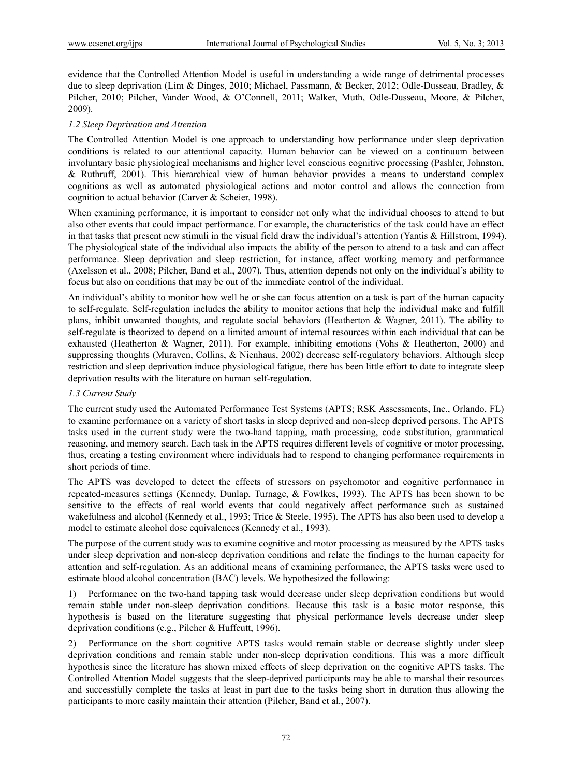evidence that the Controlled Attention Model is useful in understanding a wide range of detrimental processes due to sleep deprivation (Lim & Dinges, 2010; Michael, Passmann, & Becker, 2012; Odle-Dusseau, Bradley, & Pilcher, 2010; Pilcher, Vander Wood, & O'Connell, 2011; Walker, Muth, Odle-Dusseau, Moore, & Pilcher, 2009).

#### *1.2 Sleep Deprivation and Attention*

The Controlled Attention Model is one approach to understanding how performance under sleep deprivation conditions is related to our attentional capacity. Human behavior can be viewed on a continuum between involuntary basic physiological mechanisms and higher level conscious cognitive processing (Pashler, Johnston, & Ruthruff, 2001). This hierarchical view of human behavior provides a means to understand complex cognitions as well as automated physiological actions and motor control and allows the connection from cognition to actual behavior (Carver & Scheier, 1998).

When examining performance, it is important to consider not only what the individual chooses to attend to but also other events that could impact performance. For example, the characteristics of the task could have an effect in that tasks that present new stimuli in the visual field draw the individual's attention (Yantis & Hillstrom, 1994). The physiological state of the individual also impacts the ability of the person to attend to a task and can affect performance. Sleep deprivation and sleep restriction, for instance, affect working memory and performance (Axelsson et al., 2008; Pilcher, Band et al., 2007). Thus, attention depends not only on the individual's ability to focus but also on conditions that may be out of the immediate control of the individual.

An individual's ability to monitor how well he or she can focus attention on a task is part of the human capacity to self-regulate. Self-regulation includes the ability to monitor actions that help the individual make and fulfill plans, inhibit unwanted thoughts, and regulate social behaviors (Heatherton & Wagner, 2011). The ability to self-regulate is theorized to depend on a limited amount of internal resources within each individual that can be exhausted (Heatherton & Wagner, 2011). For example, inhibiting emotions (Vohs & Heatherton, 2000) and suppressing thoughts (Muraven, Collins, & Nienhaus, 2002) decrease self-regulatory behaviors. Although sleep restriction and sleep deprivation induce physiological fatigue, there has been little effort to date to integrate sleep deprivation results with the literature on human self-regulation.

#### *1.3 Current Study*

The current study used the Automated Performance Test Systems (APTS; RSK Assessments, Inc., Orlando, FL) to examine performance on a variety of short tasks in sleep deprived and non-sleep deprived persons. The APTS tasks used in the current study were the two-hand tapping, math processing, code substitution, grammatical reasoning, and memory search. Each task in the APTS requires different levels of cognitive or motor processing, thus, creating a testing environment where individuals had to respond to changing performance requirements in short periods of time.

The APTS was developed to detect the effects of stressors on psychomotor and cognitive performance in repeated-measures settings (Kennedy, Dunlap, Turnage, & Fowlkes, 1993). The APTS has been shown to be sensitive to the effects of real world events that could negatively affect performance such as sustained wakefulness and alcohol (Kennedy et al., 1993; Trice & Steele, 1995). The APTS has also been used to develop a model to estimate alcohol dose equivalences (Kennedy et al., 1993).

The purpose of the current study was to examine cognitive and motor processing as measured by the APTS tasks under sleep deprivation and non-sleep deprivation conditions and relate the findings to the human capacity for attention and self-regulation. As an additional means of examining performance, the APTS tasks were used to estimate blood alcohol concentration (BAC) levels. We hypothesized the following:

1) Performance on the two-hand tapping task would decrease under sleep deprivation conditions but would remain stable under non-sleep deprivation conditions. Because this task is a basic motor response, this hypothesis is based on the literature suggesting that physical performance levels decrease under sleep deprivation conditions (e.g., Pilcher & Huffcutt, 1996).

2) Performance on the short cognitive APTS tasks would remain stable or decrease slightly under sleep deprivation conditions and remain stable under non-sleep deprivation conditions. This was a more difficult hypothesis since the literature has shown mixed effects of sleep deprivation on the cognitive APTS tasks. The Controlled Attention Model suggests that the sleep-deprived participants may be able to marshal their resources and successfully complete the tasks at least in part due to the tasks being short in duration thus allowing the participants to more easily maintain their attention (Pilcher, Band et al., 2007).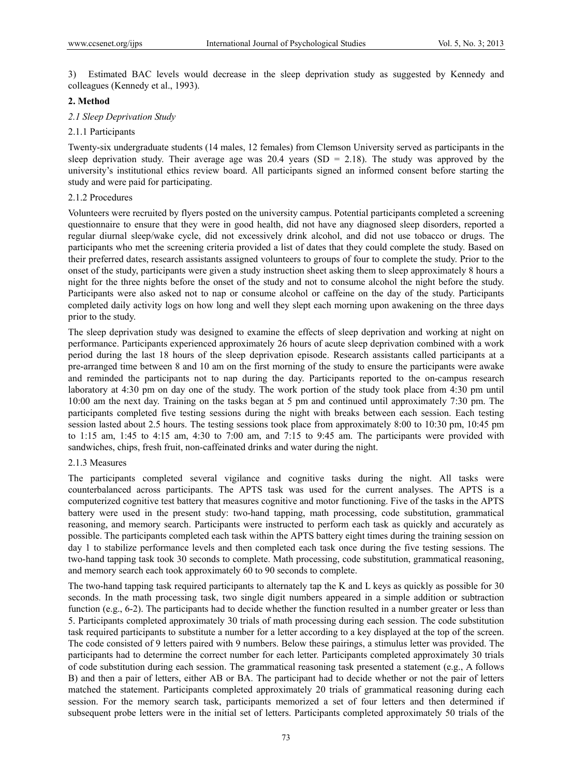3) Estimated BAC levels would decrease in the sleep deprivation study as suggested by Kennedy and colleagues (Kennedy et al., 1993).

#### **2. Method**

#### *2.1 Sleep Deprivation Study*

#### 2.1.1 Participants

Twenty-six undergraduate students (14 males, 12 females) from Clemson University served as participants in the sleep deprivation study. Their average age was  $20.4$  years (SD = 2.18). The study was approved by the university's institutional ethics review board. All participants signed an informed consent before starting the study and were paid for participating.

#### 2.1.2 Procedures

Volunteers were recruited by flyers posted on the university campus. Potential participants completed a screening questionnaire to ensure that they were in good health, did not have any diagnosed sleep disorders, reported a regular diurnal sleep/wake cycle, did not excessively drink alcohol, and did not use tobacco or drugs. The participants who met the screening criteria provided a list of dates that they could complete the study. Based on their preferred dates, research assistants assigned volunteers to groups of four to complete the study. Prior to the onset of the study, participants were given a study instruction sheet asking them to sleep approximately 8 hours a night for the three nights before the onset of the study and not to consume alcohol the night before the study. Participants were also asked not to nap or consume alcohol or caffeine on the day of the study. Participants completed daily activity logs on how long and well they slept each morning upon awakening on the three days prior to the study.

The sleep deprivation study was designed to examine the effects of sleep deprivation and working at night on performance. Participants experienced approximately 26 hours of acute sleep deprivation combined with a work period during the last 18 hours of the sleep deprivation episode. Research assistants called participants at a pre-arranged time between 8 and 10 am on the first morning of the study to ensure the participants were awake and reminded the participants not to nap during the day. Participants reported to the on-campus research laboratory at 4:30 pm on day one of the study. The work portion of the study took place from 4:30 pm until 10:00 am the next day. Training on the tasks began at 5 pm and continued until approximately 7:30 pm. The participants completed five testing sessions during the night with breaks between each session. Each testing session lasted about 2.5 hours. The testing sessions took place from approximately 8:00 to 10:30 pm, 10:45 pm to 1:15 am, 1:45 to 4:15 am, 4:30 to 7:00 am, and 7:15 to 9:45 am. The participants were provided with sandwiches, chips, fresh fruit, non-caffeinated drinks and water during the night.

#### 2.1.3 Measures

The participants completed several vigilance and cognitive tasks during the night. All tasks were counterbalanced across participants. The APTS task was used for the current analyses. The APTS is a computerized cognitive test battery that measures cognitive and motor functioning. Five of the tasks in the APTS battery were used in the present study: two-hand tapping, math processing, code substitution, grammatical reasoning, and memory search. Participants were instructed to perform each task as quickly and accurately as possible. The participants completed each task within the APTS battery eight times during the training session on day 1 to stabilize performance levels and then completed each task once during the five testing sessions. The two-hand tapping task took 30 seconds to complete. Math processing, code substitution, grammatical reasoning, and memory search each took approximately 60 to 90 seconds to complete.

The two-hand tapping task required participants to alternately tap the K and L keys as quickly as possible for 30 seconds. In the math processing task, two single digit numbers appeared in a simple addition or subtraction function (e.g., 6-2). The participants had to decide whether the function resulted in a number greater or less than 5. Participants completed approximately 30 trials of math processing during each session. The code substitution task required participants to substitute a number for a letter according to a key displayed at the top of the screen. The code consisted of 9 letters paired with 9 numbers. Below these pairings, a stimulus letter was provided. The participants had to determine the correct number for each letter. Participants completed approximately 30 trials of code substitution during each session. The grammatical reasoning task presented a statement (e.g., A follows B) and then a pair of letters, either AB or BA. The participant had to decide whether or not the pair of letters matched the statement. Participants completed approximately 20 trials of grammatical reasoning during each session. For the memory search task, participants memorized a set of four letters and then determined if subsequent probe letters were in the initial set of letters. Participants completed approximately 50 trials of the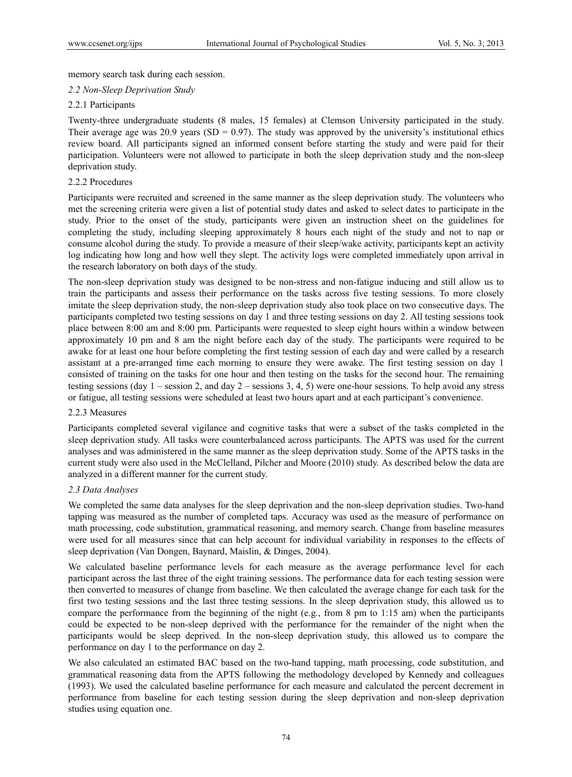memory search task during each session.

#### *2.2 Non-Sleep Deprivation Study*

#### 2.2.1 Participants

Twenty-three undergraduate students (8 males, 15 females) at Clemson University participated in the study. Their average age was 20.9 years (SD = 0.97). The study was approved by the university's institutional ethics review board. All participants signed an informed consent before starting the study and were paid for their participation. Volunteers were not allowed to participate in both the sleep deprivation study and the non-sleep deprivation study.

#### 2.2.2 Procedures

Participants were recruited and screened in the same manner as the sleep deprivation study. The volunteers who met the screening criteria were given a list of potential study dates and asked to select dates to participate in the study. Prior to the onset of the study, participants were given an instruction sheet on the guidelines for completing the study, including sleeping approximately 8 hours each night of the study and not to nap or consume alcohol during the study. To provide a measure of their sleep/wake activity, participants kept an activity log indicating how long and how well they slept. The activity logs were completed immediately upon arrival in the research laboratory on both days of the study.

The non-sleep deprivation study was designed to be non-stress and non-fatigue inducing and still allow us to train the participants and assess their performance on the tasks across five testing sessions. To more closely imitate the sleep deprivation study, the non-sleep deprivation study also took place on two consecutive days. The participants completed two testing sessions on day 1 and three testing sessions on day 2. All testing sessions took place between 8:00 am and 8:00 pm. Participants were requested to sleep eight hours within a window between approximately 10 pm and 8 am the night before each day of the study. The participants were required to be awake for at least one hour before completing the first testing session of each day and were called by a research assistant at a pre-arranged time each morning to ensure they were awake. The first testing session on day 1 consisted of training on the tasks for one hour and then testing on the tasks for the second hour. The remaining testing sessions (day  $1$  – session 2, and day  $2$  – sessions 3, 4, 5) were one-hour sessions. To help avoid any stress or fatigue, all testing sessions were scheduled at least two hours apart and at each participant's convenience.

#### 2.2.3 Measures

Participants completed several vigilance and cognitive tasks that were a subset of the tasks completed in the sleep deprivation study. All tasks were counterbalanced across participants. The APTS was used for the current analyses and was administered in the same manner as the sleep deprivation study. Some of the APTS tasks in the current study were also used in the McClelland, Pilcher and Moore (2010) study. As described below the data are analyzed in a different manner for the current study.

#### *2.3 Data Analyses*

We completed the same data analyses for the sleep deprivation and the non-sleep deprivation studies. Two-hand tapping was measured as the number of completed taps. Accuracy was used as the measure of performance on math processing, code substitution, grammatical reasoning, and memory search. Change from baseline measures were used for all measures since that can help account for individual variability in responses to the effects of sleep deprivation (Van Dongen, Baynard, Maislin, & Dinges, 2004).

We calculated baseline performance levels for each measure as the average performance level for each participant across the last three of the eight training sessions. The performance data for each testing session were then converted to measures of change from baseline. We then calculated the average change for each task for the first two testing sessions and the last three testing sessions. In the sleep deprivation study, this allowed us to compare the performance from the beginning of the night (e.g., from 8 pm to 1:15 am) when the participants could be expected to be non-sleep deprived with the performance for the remainder of the night when the participants would be sleep deprived. In the non-sleep deprivation study, this allowed us to compare the performance on day 1 to the performance on day 2.

We also calculated an estimated BAC based on the two-hand tapping, math processing, code substitution, and grammatical reasoning data from the APTS following the methodology developed by Kennedy and colleagues (1993). We used the calculated baseline performance for each measure and calculated the percent decrement in performance from baseline for each testing session during the sleep deprivation and non-sleep deprivation studies using equation one.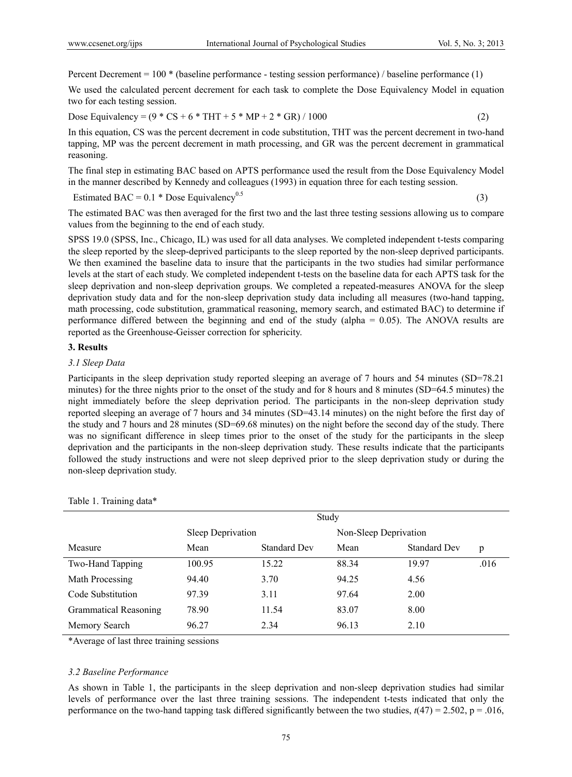Percent Decrement = 100 \* (baseline performance - testing session performance) / baseline performance (1)

We used the calculated percent decrement for each task to complete the Dose Equivalency Model in equation two for each testing session.

Dose Equivalency =  $(9 * CS + 6 * THT + 5 * MP + 2 * GR) / 1000$  (2)

In this equation, CS was the percent decrement in code substitution, THT was the percent decrement in two-hand tapping, MP was the percent decrement in math processing, and GR was the percent decrement in grammatical reasoning.

The final step in estimating BAC based on APTS performance used the result from the Dose Equivalency Model in the manner described by Kennedy and colleagues (1993) in equation three for each testing session.

Estimated BAC =  $0.1 * \text{Dose}$  Equivalency<sup>0.5</sup> (3)

The estimated BAC was then averaged for the first two and the last three testing sessions allowing us to compare values from the beginning to the end of each study.

SPSS 19.0 (SPSS, Inc., Chicago, IL) was used for all data analyses. We completed independent t-tests comparing the sleep reported by the sleep-deprived participants to the sleep reported by the non-sleep deprived participants. We then examined the baseline data to insure that the participants in the two studies had similar performance levels at the start of each study. We completed independent t-tests on the baseline data for each APTS task for the sleep deprivation and non-sleep deprivation groups. We completed a repeated-measures ANOVA for the sleep deprivation study data and for the non-sleep deprivation study data including all measures (two-hand tapping, math processing, code substitution, grammatical reasoning, memory search, and estimated BAC) to determine if performance differed between the beginning and end of the study (alpha = 0.05). The ANOVA results are reported as the Greenhouse-Geisser correction for sphericity.

#### **3. Results**

#### *3.1 Sleep Data*

Participants in the sleep deprivation study reported sleeping an average of 7 hours and 54 minutes (SD=78.21 minutes) for the three nights prior to the onset of the study and for 8 hours and 8 minutes (SD=64.5 minutes) the night immediately before the sleep deprivation period. The participants in the non-sleep deprivation study reported sleeping an average of 7 hours and 34 minutes (SD=43.14 minutes) on the night before the first day of the study and 7 hours and 28 minutes (SD=69.68 minutes) on the night before the second day of the study. There was no significant difference in sleep times prior to the onset of the study for the participants in the sleep deprivation and the participants in the non-sleep deprivation study. These results indicate that the participants followed the study instructions and were not sleep deprived prior to the sleep deprivation study or during the non-sleep deprivation study.

|                              | Study             |                     |                       |                     |      |
|------------------------------|-------------------|---------------------|-----------------------|---------------------|------|
|                              | Sleep Deprivation |                     | Non-Sleep Deprivation |                     |      |
| Measure                      | Mean              | <b>Standard Dev</b> | Mean                  | <b>Standard Dev</b> | p    |
| Two-Hand Tapping             | 100.95            | 15.22               | 88.34                 | 19.97               | .016 |
| Math Processing              | 94.40             | 3.70                | 94.25                 | 4.56                |      |
| Code Substitution            | 97.39             | 3.11                | 97.64                 | 2.00                |      |
| <b>Grammatical Reasoning</b> | 78.90             | 11.54               | 83.07                 | 8.00                |      |
| Memory Search                | 96.27             | 2.34                | 96.13                 | 2.10                |      |

Table 1. Training data\*

\*Average of last three training sessions

#### *3.2 Baseline Performance*

As shown in Table 1, the participants in the sleep deprivation and non-sleep deprivation studies had similar levels of performance over the last three training sessions. The independent t-tests indicated that only the performance on the two-hand tapping task differed significantly between the two studies,  $t(47) = 2.502$ ,  $p = .016$ ,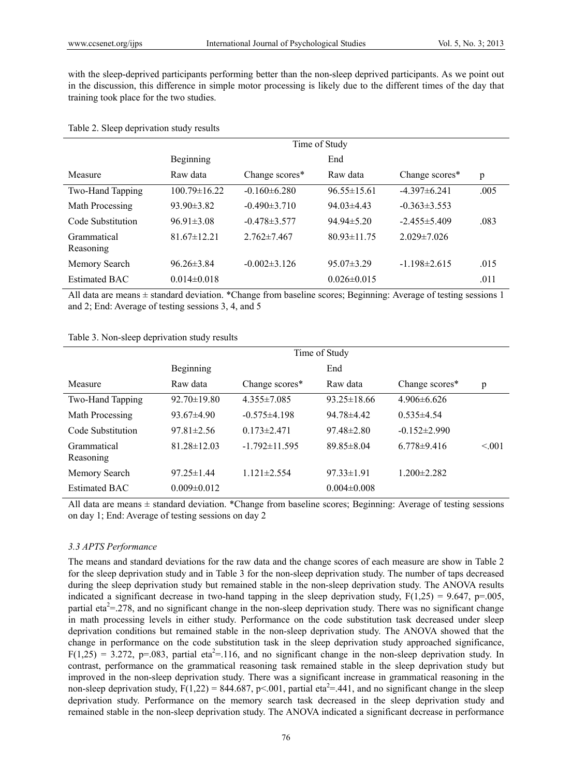with the sleep-deprived participants performing better than the non-sleep deprived participants. As we point out in the discussion, this difference in simple motor processing is likely due to the different times of the day that training took place for the two studies.

#### Table 2. Sleep deprivation study results

|                          | Time of Study      |                    |                   |                    |      |
|--------------------------|--------------------|--------------------|-------------------|--------------------|------|
|                          | Beginning          |                    | End               |                    |      |
| Measure                  | Raw data           | Change scores*     | Raw data          | Change scores*     | p    |
| Two-Hand Tapping         | $100.79 \pm 16.22$ | $-0.160\pm 6.280$  | $96.55 \pm 15.61$ | $-4.397\pm 6.241$  | .005 |
| Math Processing          | $93.90\pm3.82$     | $-0.490 \pm 3.710$ | $94.03\pm4.43$    | $-0.363\pm3.553$   |      |
| Code Substitution        | $96.91 \pm 3.08$   | $-0.478 \pm 3.577$ | $94.94 \pm 5.20$  | $-2.455 \pm 5.409$ | .083 |
| Grammatical<br>Reasoning | $81.67 \pm 12.21$  | $2.762 \pm 7.467$  | $80.93 \pm 11.75$ | $2.029 \pm 7.026$  |      |
| Memory Search            | $96.26 \pm 3.84$   | $-0.002\pm3.126$   | $95.07 \pm 3.29$  | $-1.198\pm2.615$   | .015 |
| Estimated BAC            | $0.014 \pm 0.018$  |                    | $0.026 \pm 0.015$ |                    | .011 |

All data are means  $\pm$  standard deviation. \*Change from baseline scores; Beginning: Average of testing sessions 1 and 2; End: Average of testing sessions 3, 4, and 5

|  | Table 3. Non-sleep deprivation study results |
|--|----------------------------------------------|
|  |                                              |

| Time of Study     |                     |                   |                    |        |
|-------------------|---------------------|-------------------|--------------------|--------|
| Beginning         |                     | End               |                    |        |
| Raw data          | Change scores*      | Raw data          | Change scores*     | p      |
| $92.70 \pm 19.80$ | $4.355 \pm 7.085$   | $93.25 \pm 18.66$ | $4.906\pm 6.626$   |        |
| $93.67 \pm 4.90$  | $-0.575\pm4.198$    | $9478\pm442$      | $0.535 \pm 4.54$   |        |
| $97.81 \pm 2.56$  | $0.173 \pm 2.471$   | $97.48 \pm 2.80$  | $-0.152 \pm 2.990$ |        |
| $81.28 \pm 12.03$ | $-1.792 \pm 11.595$ | $89.85 \pm 8.04$  | $6.778\pm9.416$    | < 0.01 |
| $97.25 \pm 1.44$  | $1.121 \pm 2.554$   | $97.33 \pm 1.91$  | $1.200 \pm 2.282$  |        |
| $0.009 \pm 0.012$ |                     | $0.004 \pm 0.008$ |                    |        |
|                   |                     |                   |                    |        |

All data are means ± standard deviation. \*Change from baseline scores; Beginning: Average of testing sessions on day 1; End: Average of testing sessions on day 2

#### *3.3 APTS Performance*

The means and standard deviations for the raw data and the change scores of each measure are show in Table 2 for the sleep deprivation study and in Table 3 for the non-sleep deprivation study. The number of taps decreased during the sleep deprivation study but remained stable in the non-sleep deprivation study. The ANOVA results indicated a significant decrease in two-hand tapping in the sleep deprivation study,  $F(1,25) = 9.647$ ,  $p=0.005$ , partial eta<sup>2</sup>=.278, and no significant change in the non-sleep deprivation study. There was no significant change in math processing levels in either study. Performance on the code substitution task decreased under sleep deprivation conditions but remained stable in the non-sleep deprivation study. The ANOVA showed that the change in performance on the code substitution task in the sleep deprivation study approached significance,  $F(1,25) = 3.272$ , p=.083, partial eta<sup>2</sup>=.116, and no significant change in the non-sleep deprivation study. In contrast, performance on the grammatical reasoning task remained stable in the sleep deprivation study but improved in the non-sleep deprivation study. There was a significant increase in grammatical reasoning in the non-sleep deprivation study,  $F(1,22) = 844.687$ ,  $p<.001$ , partial eta<sup>2</sup>=.441, and no significant change in the sleep deprivation study. Performance on the memory search task decreased in the sleep deprivation study and remained stable in the non-sleep deprivation study. The ANOVA indicated a significant decrease in performance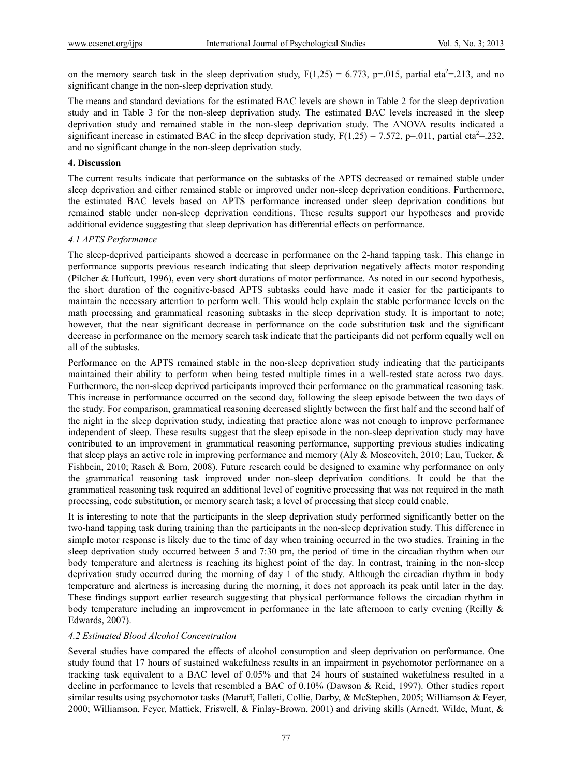on the memory search task in the sleep deprivation study,  $F(1,25) = 6.773$ , p=.015, partial eta<sup>2</sup>=.213, and no significant change in the non-sleep deprivation study.

The means and standard deviations for the estimated BAC levels are shown in Table 2 for the sleep deprivation study and in Table 3 for the non-sleep deprivation study. The estimated BAC levels increased in the sleep deprivation study and remained stable in the non-sleep deprivation study. The ANOVA results indicated a significant increase in estimated BAC in the sleep deprivation study,  $F(1,25) = 7.572$ , p=.011, partial eta<sup>2</sup>=.232, and no significant change in the non-sleep deprivation study.

#### **4. Discussion**

The current results indicate that performance on the subtasks of the APTS decreased or remained stable under sleep deprivation and either remained stable or improved under non-sleep deprivation conditions. Furthermore, the estimated BAC levels based on APTS performance increased under sleep deprivation conditions but remained stable under non-sleep deprivation conditions. These results support our hypotheses and provide additional evidence suggesting that sleep deprivation has differential effects on performance.

#### *4.1 APTS Performance*

The sleep-deprived participants showed a decrease in performance on the 2-hand tapping task. This change in performance supports previous research indicating that sleep deprivation negatively affects motor responding (Pilcher & Huffcutt, 1996), even very short durations of motor performance. As noted in our second hypothesis, the short duration of the cognitive-based APTS subtasks could have made it easier for the participants to maintain the necessary attention to perform well. This would help explain the stable performance levels on the math processing and grammatical reasoning subtasks in the sleep deprivation study. It is important to note; however, that the near significant decrease in performance on the code substitution task and the significant decrease in performance on the memory search task indicate that the participants did not perform equally well on all of the subtasks.

Performance on the APTS remained stable in the non-sleep deprivation study indicating that the participants maintained their ability to perform when being tested multiple times in a well-rested state across two days. Furthermore, the non-sleep deprived participants improved their performance on the grammatical reasoning task. This increase in performance occurred on the second day, following the sleep episode between the two days of the study. For comparison, grammatical reasoning decreased slightly between the first half and the second half of the night in the sleep deprivation study, indicating that practice alone was not enough to improve performance independent of sleep. These results suggest that the sleep episode in the non-sleep deprivation study may have contributed to an improvement in grammatical reasoning performance, supporting previous studies indicating that sleep plays an active role in improving performance and memory (Aly & Moscovitch, 2010; Lau, Tucker, & Fishbein, 2010; Rasch & Born, 2008). Future research could be designed to examine why performance on only the grammatical reasoning task improved under non-sleep deprivation conditions. It could be that the grammatical reasoning task required an additional level of cognitive processing that was not required in the math processing, code substitution, or memory search task; a level of processing that sleep could enable.

It is interesting to note that the participants in the sleep deprivation study performed significantly better on the two-hand tapping task during training than the participants in the non-sleep deprivation study. This difference in simple motor response is likely due to the time of day when training occurred in the two studies. Training in the sleep deprivation study occurred between 5 and 7:30 pm, the period of time in the circadian rhythm when our body temperature and alertness is reaching its highest point of the day. In contrast, training in the non-sleep deprivation study occurred during the morning of day 1 of the study. Although the circadian rhythm in body temperature and alertness is increasing during the morning, it does not approach its peak until later in the day. These findings support earlier research suggesting that physical performance follows the circadian rhythm in body temperature including an improvement in performance in the late afternoon to early evening (Reilly & Edwards, 2007).

#### *4.2 Estimated Blood Alcohol Concentration*

Several studies have compared the effects of alcohol consumption and sleep deprivation on performance. One study found that 17 hours of sustained wakefulness results in an impairment in psychomotor performance on a tracking task equivalent to a BAC level of 0.05% and that 24 hours of sustained wakefulness resulted in a decline in performance to levels that resembled a BAC of 0.10% (Dawson & Reid, 1997). Other studies report similar results using psychomotor tasks (Maruff, Falleti, Collie, Darby, & McStephen, 2005; Williamson & Feyer, 2000; Williamson, Feyer, Mattick, Friswell, & Finlay-Brown, 2001) and driving skills (Arnedt, Wilde, Munt, &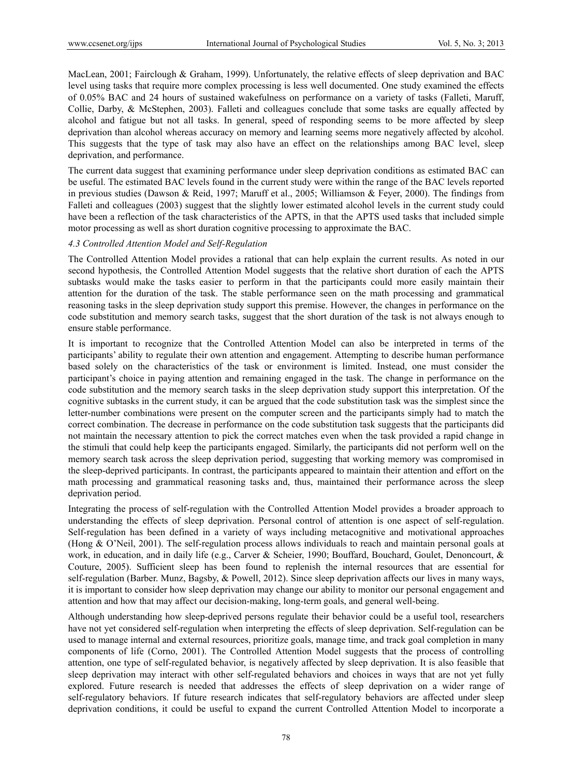MacLean, 2001; Fairclough & Graham, 1999). Unfortunately, the relative effects of sleep deprivation and BAC level using tasks that require more complex processing is less well documented. One study examined the effects of 0.05% BAC and 24 hours of sustained wakefulness on performance on a variety of tasks (Falleti, Maruff, Collie, Darby, & McStephen, 2003). Falleti and colleagues conclude that some tasks are equally affected by alcohol and fatigue but not all tasks. In general, speed of responding seems to be more affected by sleep deprivation than alcohol whereas accuracy on memory and learning seems more negatively affected by alcohol. This suggests that the type of task may also have an effect on the relationships among BAC level, sleep deprivation, and performance.

The current data suggest that examining performance under sleep deprivation conditions as estimated BAC can be useful. The estimated BAC levels found in the current study were within the range of the BAC levels reported in previous studies (Dawson & Reid, 1997; Maruff et al., 2005; Williamson & Feyer, 2000). The findings from Falleti and colleagues (2003) suggest that the slightly lower estimated alcohol levels in the current study could have been a reflection of the task characteristics of the APTS, in that the APTS used tasks that included simple motor processing as well as short duration cognitive processing to approximate the BAC.

#### *4.3 Controlled Attention Model and Self-Regulation*

The Controlled Attention Model provides a rational that can help explain the current results. As noted in our second hypothesis, the Controlled Attention Model suggests that the relative short duration of each the APTS subtasks would make the tasks easier to perform in that the participants could more easily maintain their attention for the duration of the task. The stable performance seen on the math processing and grammatical reasoning tasks in the sleep deprivation study support this premise. However, the changes in performance on the code substitution and memory search tasks, suggest that the short duration of the task is not always enough to ensure stable performance.

It is important to recognize that the Controlled Attention Model can also be interpreted in terms of the participants' ability to regulate their own attention and engagement. Attempting to describe human performance based solely on the characteristics of the task or environment is limited. Instead, one must consider the participant's choice in paying attention and remaining engaged in the task. The change in performance on the code substitution and the memory search tasks in the sleep deprivation study support this interpretation. Of the cognitive subtasks in the current study, it can be argued that the code substitution task was the simplest since the letter-number combinations were present on the computer screen and the participants simply had to match the correct combination. The decrease in performance on the code substitution task suggests that the participants did not maintain the necessary attention to pick the correct matches even when the task provided a rapid change in the stimuli that could help keep the participants engaged. Similarly, the participants did not perform well on the memory search task across the sleep deprivation period, suggesting that working memory was compromised in the sleep-deprived participants. In contrast, the participants appeared to maintain their attention and effort on the math processing and grammatical reasoning tasks and, thus, maintained their performance across the sleep deprivation period.

Integrating the process of self-regulation with the Controlled Attention Model provides a broader approach to understanding the effects of sleep deprivation. Personal control of attention is one aspect of self-regulation. Self-regulation has been defined in a variety of ways including metacognitive and motivational approaches (Hong & O'Neil, 2001). The self-regulation process allows individuals to reach and maintain personal goals at work, in education, and in daily life (e.g., Carver & Scheier, 1990; Bouffard, Bouchard, Goulet, Denoncourt, & Couture, 2005). Sufficient sleep has been found to replenish the internal resources that are essential for self-regulation (Barber. Munz, Bagsby, & Powell, 2012). Since sleep deprivation affects our lives in many ways, it is important to consider how sleep deprivation may change our ability to monitor our personal engagement and attention and how that may affect our decision-making, long-term goals, and general well-being.

Although understanding how sleep-deprived persons regulate their behavior could be a useful tool, researchers have not yet considered self-regulation when interpreting the effects of sleep deprivation. Self-regulation can be used to manage internal and external resources, prioritize goals, manage time, and track goal completion in many components of life (Corno, 2001). The Controlled Attention Model suggests that the process of controlling attention, one type of self-regulated behavior, is negatively affected by sleep deprivation. It is also feasible that sleep deprivation may interact with other self-regulated behaviors and choices in ways that are not yet fully explored. Future research is needed that addresses the effects of sleep deprivation on a wider range of self-regulatory behaviors. If future research indicates that self-regulatory behaviors are affected under sleep deprivation conditions, it could be useful to expand the current Controlled Attention Model to incorporate a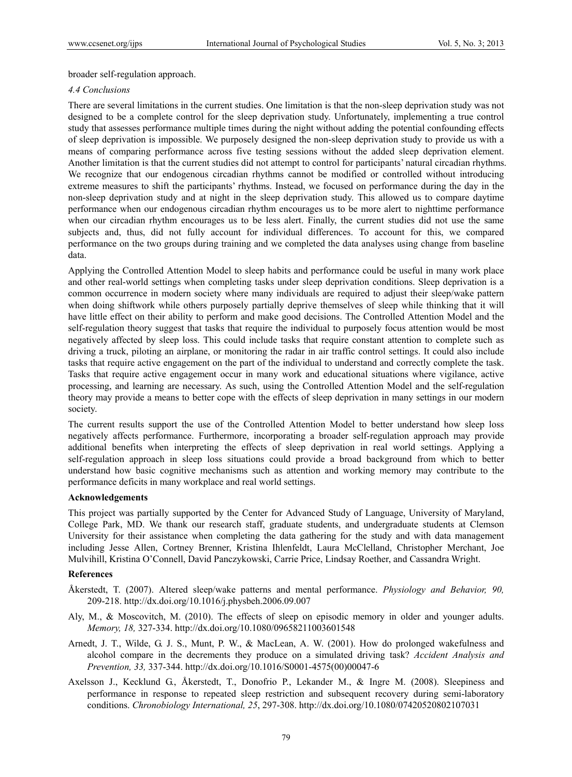broader self-regulation approach.

#### *4.4 Conclusions*

There are several limitations in the current studies. One limitation is that the non-sleep deprivation study was not designed to be a complete control for the sleep deprivation study. Unfortunately, implementing a true control study that assesses performance multiple times during the night without adding the potential confounding effects of sleep deprivation is impossible. We purposely designed the non-sleep deprivation study to provide us with a means of comparing performance across five testing sessions without the added sleep deprivation element. Another limitation is that the current studies did not attempt to control for participants' natural circadian rhythms. We recognize that our endogenous circadian rhythms cannot be modified or controlled without introducing extreme measures to shift the participants' rhythms. Instead, we focused on performance during the day in the non-sleep deprivation study and at night in the sleep deprivation study. This allowed us to compare daytime performance when our endogenous circadian rhythm encourages us to be more alert to nighttime performance when our circadian rhythm encourages us to be less alert. Finally, the current studies did not use the same subjects and, thus, did not fully account for individual differences. To account for this, we compared performance on the two groups during training and we completed the data analyses using change from baseline data.

Applying the Controlled Attention Model to sleep habits and performance could be useful in many work place and other real-world settings when completing tasks under sleep deprivation conditions. Sleep deprivation is a common occurrence in modern society where many individuals are required to adjust their sleep/wake pattern when doing shiftwork while others purposely partially deprive themselves of sleep while thinking that it will have little effect on their ability to perform and make good decisions. The Controlled Attention Model and the self-regulation theory suggest that tasks that require the individual to purposely focus attention would be most negatively affected by sleep loss. This could include tasks that require constant attention to complete such as driving a truck, piloting an airplane, or monitoring the radar in air traffic control settings. It could also include tasks that require active engagement on the part of the individual to understand and correctly complete the task. Tasks that require active engagement occur in many work and educational situations where vigilance, active processing, and learning are necessary. As such, using the Controlled Attention Model and the self-regulation theory may provide a means to better cope with the effects of sleep deprivation in many settings in our modern society.

The current results support the use of the Controlled Attention Model to better understand how sleep loss negatively affects performance. Furthermore, incorporating a broader self-regulation approach may provide additional benefits when interpreting the effects of sleep deprivation in real world settings. Applying a self-regulation approach in sleep loss situations could provide a broad background from which to better understand how basic cognitive mechanisms such as attention and working memory may contribute to the performance deficits in many workplace and real world settings.

#### **Acknowledgements**

This project was partially supported by the Center for Advanced Study of Language, University of Maryland, College Park, MD. We thank our research staff, graduate students, and undergraduate students at Clemson University for their assistance when completing the data gathering for the study and with data management including Jesse Allen, Cortney Brenner, Kristina Ihlenfeldt, Laura McClelland, Christopher Merchant, Joe Mulvihill, Kristina O'Connell, David Panczykowski, Carrie Price, Lindsay Roether, and Cassandra Wright.

#### **References**

- Åkerstedt, T. (2007). Altered sleep/wake patterns and mental performance. *Physiology and Behavior, 90,* 209-218. http://dx.doi.org/10.1016/j.physbeh.2006.09.007
- Aly, M., & Moscovitch, M. (2010). The effects of sleep on episodic memory in older and younger adults. *Memory, 18,* 327-334. http://dx.doi.org/10.1080/09658211003601548
- Arnedt, J. T., Wilde, G. J. S., Munt, P. W., & MacLean, A. W. (2001). How do prolonged wakefulness and alcohol compare in the decrements they produce on a simulated driving task? *Accident Analysis and Prevention, 33,* 337-344. http://dx.doi.org/10.1016/S0001-4575(00)00047-6
- Axelsson J., Kecklund G., Åkerstedt, T., Donofrio P., Lekander M., & Ingre M. (2008). Sleepiness and performance in response to repeated sleep restriction and subsequent recovery during semi-laboratory conditions. *Chronobiology International, 25*, 297-308. http://dx.doi.org/10.1080/07420520802107031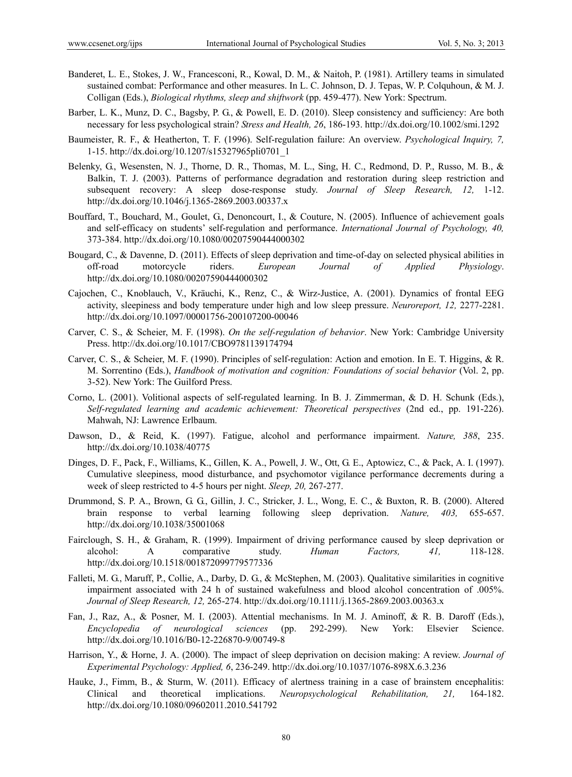- Banderet, L. E., Stokes, J. W., Francesconi, R., Kowal, D. M., & Naitoh, P. (1981). Artillery teams in simulated sustained combat: Performance and other measures. In L. C. Johnson, D. J. Tepas, W. P. Colquhoun, & M. J. Colligan (Eds.), *Biological rhythms, sleep and shiftwork* (pp. 459-477). New York: Spectrum.
- Barber, L. K., Munz, D. C., Bagsby, P. G., & Powell, E. D. (2010). Sleep consistency and sufficiency: Are both necessary for less psychological strain? *Stress and Health, 26*, 186-193. http://dx.doi.org/10.1002/smi.1292
- Baumeister, R. F., & Heatherton, T. F. (1996). Self-regulation failure: An overview. *Psychological Inquiry, 7,* 1-15. http://dx.doi.org/10.1207/s15327965pli0701\_1
- Belenky, G., Wesensten, N. J., Thorne, D. R., Thomas, M. L., Sing, H. C., Redmond, D. P., Russo, M. B., & Balkin, T. J. (2003). Patterns of performance degradation and restoration during sleep restriction and subsequent recovery: A sleep dose-response study. *Journal of Sleep Research, 12,* 1-12. http://dx.doi.org/10.1046/j.1365-2869.2003.00337.x
- Bouffard, T., Bouchard, M., Goulet, G., Denoncourt, I., & Couture, N. (2005). Influence of achievement goals and self-efficacy on students' self-regulation and performance. *International Journal of Psychology, 40,* 373-384. http://dx.doi.org/10.1080/00207590444000302
- Bougard, C., & Davenne, D. (2011). Effects of sleep deprivation and time-of-day on selected physical abilities in off-road motorcycle riders. *European Journal of Applied Physiology*. http://dx.doi.org/10.1080/00207590444000302
- Cajochen, C., Knoblauch, V., Kräuchi, K., Renz, C., & Wirz-Justice, A. (2001). Dynamics of frontal EEG activity, sleepiness and body temperature under high and low sleep pressure. *Neuroreport, 12,* 2277-2281. http://dx.doi.org/10.1097/00001756-200107200-00046
- Carver, C. S., & Scheier, M. F. (1998). *On the self-regulation of behavior*. New York: Cambridge University Press. http://dx.doi.org/10.1017/CBO9781139174794
- Carver, C. S., & Scheier, M. F. (1990). Principles of self-regulation: Action and emotion. In E. T. Higgins, & R. M. Sorrentino (Eds.), *Handbook of motivation and cognition: Foundations of social behavior* (Vol. 2, pp. 3-52). New York: The Guilford Press.
- Corno, L. (2001). Volitional aspects of self-regulated learning. In B. J. Zimmerman, & D. H. Schunk (Eds.), *Self-regulated learning and academic achievement: Theoretical perspectives* (2nd ed., pp. 191-226). Mahwah, NJ: Lawrence Erlbaum.
- Dawson, D., & Reid, K. (1997). Fatigue, alcohol and performance impairment. *Nature, 388*, 235. http://dx.doi.org/10.1038/40775
- Dinges, D. F., Pack, F., Williams, K., Gillen, K. A., Powell, J. W., Ott, G. E., Aptowicz, C., & Pack, A. I. (1997). Cumulative sleepiness, mood disturbance, and psychomotor vigilance performance decrements during a week of sleep restricted to 4-5 hours per night. *Sleep, 20,* 267-277.
- Drummond, S. P. A., Brown, G. G., Gillin, J. C., Stricker, J. L., Wong, E. C., & Buxton, R. B. (2000). Altered brain response to verbal learning following sleep deprivation. *Nature, 403,* 655-657. http://dx.doi.org/10.1038/35001068
- Fairclough, S. H., & Graham, R. (1999). Impairment of driving performance caused by sleep deprivation or alcohol: A comparative study. *Human Factors, 41,* 118-128. http://dx.doi.org/10.1518/001872099779577336
- Falleti, M. G., Maruff, P., Collie, A., Darby, D. G., & McStephen, M. (2003). Qualitative similarities in cognitive impairment associated with 24 h of sustained wakefulness and blood alcohol concentration of .005%. *Journal of Sleep Research, 12,* 265-274. http://dx.doi.org/10.1111/j.1365-2869.2003.00363.x
- Fan, J., Raz, A., & Posner, M. I. (2003). Attential mechanisms. In M. J. Aminoff, & R. B. Daroff (Eds.), *Encyclopedia of neurological sciences* (pp. 292-299). New York: Elsevier Science. http://dx.doi.org/10.1016/B0-12-226870-9/00749-8
- Harrison, Y., & Horne, J. A. (2000). The impact of sleep deprivation on decision making: A review. *Journal of Experimental Psychology: Applied, 6*, 236-249. http://dx.doi.org/10.1037/1076-898X.6.3.236
- Hauke, J., Fimm, B., & Sturm, W. (2011). Efficacy of alertness training in a case of brainstem encephalitis: Clinical and theoretical implications. *Neuropsychological Rehabilitation, 21,* 164-182. http://dx.doi.org/10.1080/09602011.2010.541792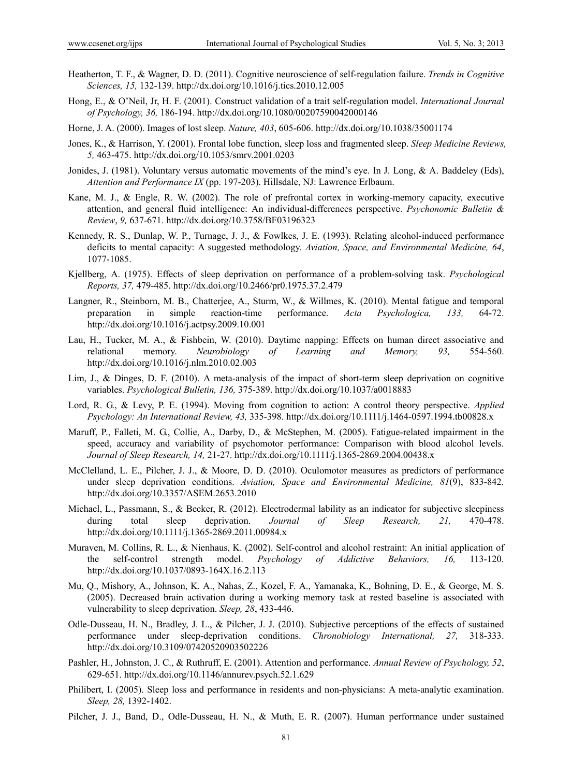- Heatherton, T. F., & Wagner, D. D. (2011). Cognitive neuroscience of self-regulation failure. *Trends in Cognitive Sciences, 15,* 132-139. http://dx.doi.org/10.1016/j.tics.2010.12.005
- Hong, E., & O'Neil, Jr, H. F. (2001). Construct validation of a trait self-regulation model. *International Journal of Psychology, 36,* 186-194. http://dx.doi.org/10.1080/00207590042000146
- Horne, J. A. (2000). Images of lost sleep. *Nature, 403*, 605-606. http://dx.doi.org/10.1038/35001174
- Jones, K., & Harrison, Y. (2001). Frontal lobe function, sleep loss and fragmented sleep. *Sleep Medicine Reviews, 5,* 463-475. http://dx.doi.org/10.1053/smrv.2001.0203
- Jonides, J. (1981). Voluntary versus automatic movements of the mind's eye. In J. Long, & A. Baddeley (Eds), *Attention and Performance IX* (pp. 197-203). Hillsdale, NJ: Lawrence Erlbaum.
- Kane, M. J., & Engle, R. W. (2002). The role of prefrontal cortex in working-memory capacity, executive attention, and general fluid intelligence: An individual-differences perspective. *Psychonomic Bulletin & Review*, *9,* 637-671. http://dx.doi.org/10.3758/BF03196323
- Kennedy, R. S., Dunlap, W. P., Turnage, J. J., & Fowlkes, J. E. (1993). Relating alcohol-induced performance deficits to mental capacity: A suggested methodology. *Aviation, Space, and Environmental Medicine, 64*, 1077-1085.
- Kjellberg, A. (1975). Effects of sleep deprivation on performance of a problem-solving task. *Psychological Reports, 37,* 479-485. http://dx.doi.org/10.2466/pr0.1975.37.2.479
- Langner, R., Steinborn, M. B., Chatterjee, A., Sturm, W., & Willmes, K. (2010). Mental fatigue and temporal preparation in simple reaction-time performance. *Acta Psychologica, 133,* 64-72. http://dx.doi.org/10.1016/j.actpsy.2009.10.001
- Lau, H., Tucker, M. A., & Fishbein, W. (2010). Daytime napping: Effects on human direct associative and relational memory. *Neurobiology of Learning and Memory, 93,* 554-560. http://dx.doi.org/10.1016/j.nlm.2010.02.003
- Lim, J., & Dinges, D. F. (2010). A meta-analysis of the impact of short-term sleep deprivation on cognitive variables. *Psychological Bulletin, 136,* 375-389. http://dx.doi.org/10.1037/a0018883
- Lord, R. G., & Levy, P. E. (1994). Moving from cognition to action: A control theory perspective. *Applied Psychology: An International Review, 43,* 335-398. http://dx.doi.org/10.1111/j.1464-0597.1994.tb00828.x
- Maruff, P., Falleti, M. G., Collie, A., Darby, D., & McStephen, M. (2005). Fatigue-related impairment in the speed, accuracy and variability of psychomotor performance: Comparison with blood alcohol levels. *Journal of Sleep Research, 14,* 21-27. http://dx.doi.org/10.1111/j.1365-2869.2004.00438.x
- McClelland, L. E., Pilcher, J. J., & Moore, D. D. (2010). Oculomotor measures as predictors of performance under sleep deprivation conditions. *Aviation, Space and Environmental Medicine, 81*(9), 833-842*.* http://dx.doi.org/10.3357/ASEM.2653.2010
- Michael, L., Passmann, S., & Becker, R. (2012). Electrodermal lability as an indicator for subjective sleepiness during total sleep deprivation. *Journal of Sleep Research, 21,* 470-478. http://dx.doi.org/10.1111/j.1365-2869.2011.00984.x
- Muraven, M. Collins, R. L., & Nienhaus, K. (2002). Self-control and alcohol restraint: An initial application of the self-control strength model. *Psychology of Addictive Behaviors, 16,* 113-120. http://dx.doi.org/10.1037/0893-164X.16.2.113
- Mu, Q., Mishory, A., Johnson, K. A., Nahas, Z., Kozel, F. A., Yamanaka, K., Bohning, D. E., & George, M. S. (2005). Decreased brain activation during a working memory task at rested baseline is associated with vulnerability to sleep deprivation. *Sleep, 28*, 433-446.
- Odle-Dusseau, H. N., Bradley, J. L., & Pilcher, J. J. (2010). Subjective perceptions of the effects of sustained performance under sleep-deprivation conditions. *Chronobiology International, 27,* 318-333. http://dx.doi.org/10.3109/07420520903502226
- Pashler, H., Johnston, J. C., & Ruthruff, E. (2001). Attention and performance. *Annual Review of Psychology, 52*, 629-651. http://dx.doi.org/10.1146/annurev.psych.52.1.629
- Philibert, I. (2005). Sleep loss and performance in residents and non-physicians: A meta-analytic examination. *Sleep, 28,* 1392-1402.
- Pilcher, J. J., Band, D., Odle-Dusseau, H. N., & Muth, E. R. (2007). Human performance under sustained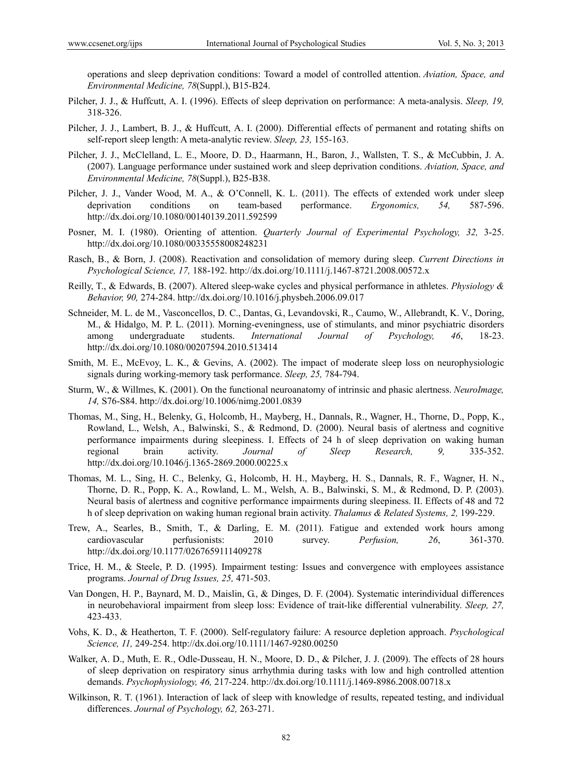operations and sleep deprivation conditions: Toward a model of controlled attention. *Aviation, Space, and Environmental Medicine, 78*(Suppl.), B15-B24.

- Pilcher, J. J., & Huffcutt, A. I. (1996). Effects of sleep deprivation on performance: A meta-analysis. *Sleep, 19,* 318-326.
- Pilcher, J. J., Lambert, B. J., & Huffcutt, A. I. (2000). Differential effects of permanent and rotating shifts on self-report sleep length: A meta-analytic review. *Sleep, 23,* 155-163.
- Pilcher, J. J., McClelland, L. E., Moore, D. D., Haarmann, H., Baron, J., Wallsten, T. S., & McCubbin, J. A. (2007). Language performance under sustained work and sleep deprivation conditions. *Aviation, Space, and Environmental Medicine, 78*(Suppl.), B25-B38.
- Pilcher, J. J., Vander Wood, M. A., & O'Connell, K. L. (2011). The effects of extended work under sleep deprivation conditions on team-based performance. *Ergonomics, 54,* 587-596. http://dx.doi.org/10.1080/00140139.2011.592599
- Posner, M. I. (1980). Orienting of attention. *Quarterly Journal of Experimental Psychology, 32,* 3-25. http://dx.doi.org/10.1080/00335558008248231
- Rasch, B., & Born, J. (2008). Reactivation and consolidation of memory during sleep. *Current Directions in Psychological Science, 17,* 188-192. http://dx.doi.org/10.1111/j.1467-8721.2008.00572.x
- Reilly, T., & Edwards, B. (2007). Altered sleep-wake cycles and physical performance in athletes. *Physiology & Behavior, 90,* 274-284. http://dx.doi.org/10.1016/j.physbeh.2006.09.017
- Schneider, M. L. de M., Vasconcellos, D. C., Dantas, G., Levandovski, R., Caumo, W., Allebrandt, K. V., Doring, M., & Hidalgo, M. P. L. (2011). Morning-eveningness, use of stimulants, and minor psychiatric disorders among undergraduate students. *International Journal of Psychology, 46*, 18-23. http://dx.doi.org/10.1080/00207594.2010.513414
- Smith, M. E., McEvoy, L. K., & Gevins, A. (2002). The impact of moderate sleep loss on neurophysiologic signals during working-memory task performance. *Sleep, 25,* 784-794.
- Sturm, W., & Willmes, K. (2001). On the functional neuroanatomy of intrinsic and phasic alertness. *NeuroImage, 14,* S76-S84. http://dx.doi.org/10.1006/nimg.2001.0839
- Thomas, M., Sing, H., Belenky, G., Holcomb, H., Mayberg, H., Dannals, R., Wagner, H., Thorne, D., Popp, K., Rowland, L., Welsh, A., Balwinski, S., & Redmond, D. (2000). Neural basis of alertness and cognitive performance impairments during sleepiness. I. Effects of 24 h of sleep deprivation on waking human regional brain activity. *Journal of Sleep Research, 9,* 335-352. http://dx.doi.org/10.1046/j.1365-2869.2000.00225.x
- Thomas, M. L., Sing, H. C., Belenky, G., Holcomb, H. H., Mayberg, H. S., Dannals, R. F., Wagner, H. N., Thorne, D. R., Popp, K. A., Rowland, L. M., Welsh, A. B., Balwinski, S. M., & Redmond, D. P. (2003). Neural basis of alertness and cognitive performance impairments during sleepiness. II. Effects of 48 and 72 h of sleep deprivation on waking human regional brain activity. *Thalamus & Related Systems, 2,* 199-229.
- Trew, A., Searles, B., Smith, T., & Darling, E. M. (2011). Fatigue and extended work hours among cardiovascular perfusionists: 2010 survey. *Perfusion, 26*, 361-370. http://dx.doi.org/10.1177/0267659111409278
- Trice, H. M., & Steele, P. D. (1995). Impairment testing: Issues and convergence with employees assistance programs. *Journal of Drug Issues, 25,* 471-503.
- Van Dongen, H. P., Baynard, M. D., Maislin, G., & Dinges, D. F. (2004). Systematic interindividual differences in neurobehavioral impairment from sleep loss: Evidence of trait-like differential vulnerability. *Sleep, 27,* 423-433.
- Vohs, K. D., & Heatherton, T. F. (2000). Self-regulatory failure: A resource depletion approach. *Psychological Science, 11,* 249-254. http://dx.doi.org/10.1111/1467-9280.00250
- Walker, A. D., Muth, E. R., Odle-Dusseau, H. N., Moore, D. D., & Pilcher, J. J. (2009). The effects of 28 hours of sleep deprivation on respiratory sinus arrhythmia during tasks with low and high controlled attention demands. *Psychophysiology, 46,* 217-224. http://dx.doi.org/10.1111/j.1469-8986.2008.00718.x
- Wilkinson, R. T. (1961). Interaction of lack of sleep with knowledge of results, repeated testing, and individual differences. *Journal of Psychology, 62,* 263-271.